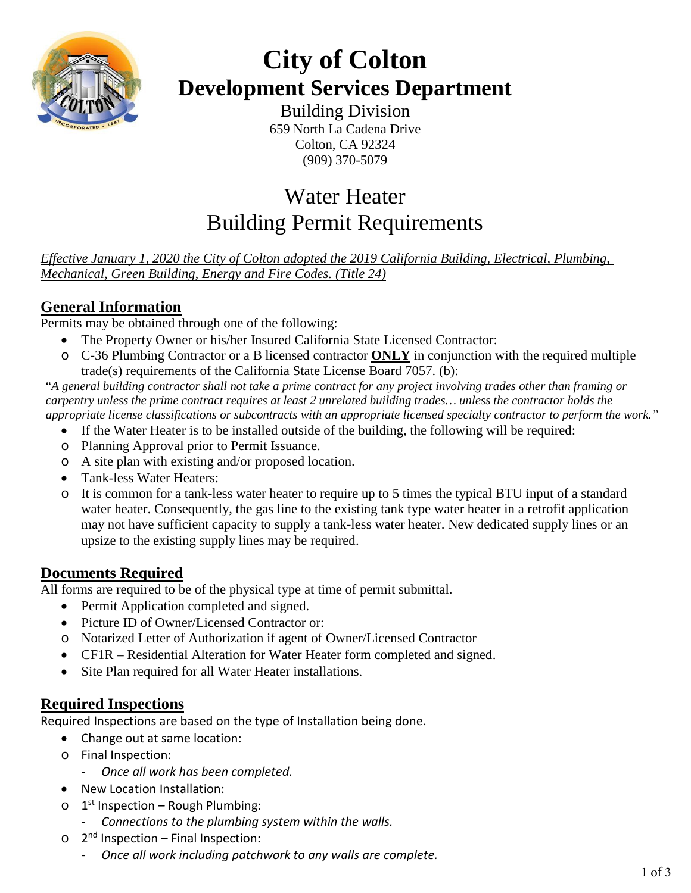

# **City of Colton Development Services Department**

Building Division 659 North La Cadena Drive Colton, CA 92324 (909) 370-5079

# Water Heater Building Permit Requirements

*Effective January 1, 2020 the City of Colton adopted the 2019 California Building, Electrical, Plumbing, Mechanical, Green Building, Energy and Fire Codes. (Title 24)*

## **General Information**

Permits may be obtained through one of the following:

- The Property Owner or his/her Insured California State Licensed Contractor:
- o C-36 Plumbing Contractor or a B licensed contractor **ONLY** in conjunction with the required multiple trade(s) requirements of the California State License Board 7057. (b):

"*A general building contractor shall not take a prime contract for any project involving trades other than framing or carpentry unless the prime contract requires at least 2 unrelated building trades… unless the contractor holds the appropriate license classifications or subcontracts with an appropriate licensed specialty contractor to perform the work."*

- If the Water Heater is to be installed outside of the building, the following will be required:
- o Planning Approval prior to Permit Issuance.
- o A site plan with existing and/or proposed location.
- Tank-less Water Heaters:
- o It is common for a tank-less water heater to require up to 5 times the typical BTU input of a standard water heater. Consequently, the gas line to the existing tank type water heater in a retrofit application may not have sufficient capacity to supply a tank-less water heater. New dedicated supply lines or an upsize to the existing supply lines may be required.

### **Documents Required**

All forms are required to be of the physical type at time of permit submittal.

- Permit Application completed and signed.
- Picture ID of Owner/Licensed Contractor or:
- o Notarized Letter of Authorization if agent of Owner/Licensed Contractor
- CF1R Residential Alteration for Water Heater form completed and signed.
- Site Plan required for all Water Heater installations.

### **Required Inspections**

Required Inspections are based on the type of Installation being done.

- Change out at same location:
- o Final Inspection:
	- *Once all work has been completed.*
- New Location Installation:
- $\circ$  1<sup>st</sup> Inspection Rough Plumbing:
	- *Connections to the plumbing system within the walls.*
- $\circ$  2<sup>nd</sup> Inspection Final Inspection:
	- *Once all work including patchwork to any walls are complete.*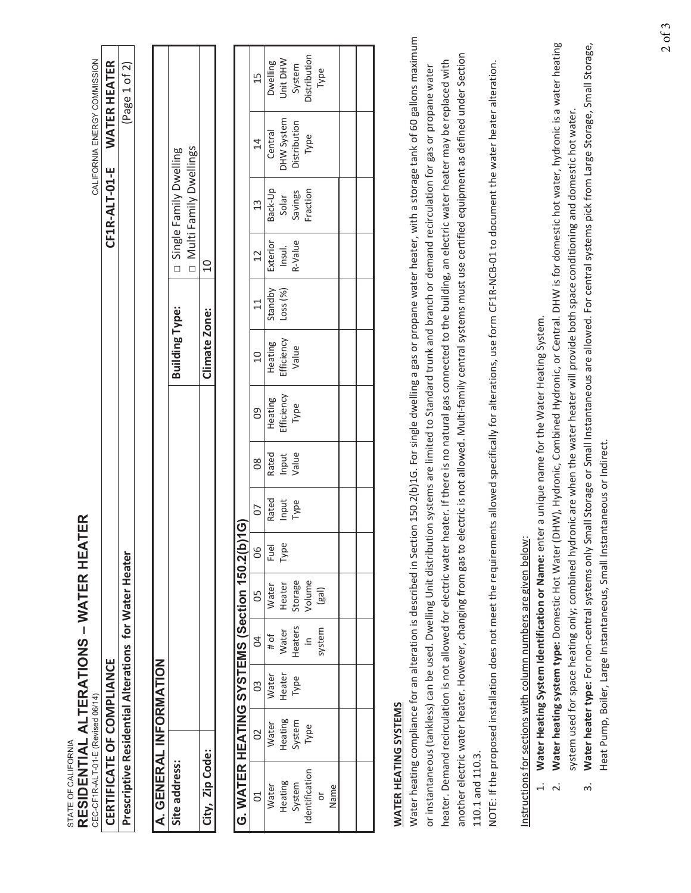| Dwelling<br>System<br>Page 1 of 2)<br>Type<br>15<br>DHW System<br>Distribution<br>Central<br>Type<br>14<br><b>IN ulti Family Dwellings</b><br>Single Family Dwelling<br>Back-Up<br>Fraction<br>Savings<br>Solar<br>13<br>Exterior<br>R-Value<br>Insul.<br>12<br>$\Omega$<br>$\Box$<br>Standby<br>Loss(%)<br>$\overline{11}$<br><b>Building Type:</b><br>Climate Zone:<br>Efficiency<br>Heating<br>Value<br>$\overline{a}$<br>Efficiency<br>Heating<br>Type<br>80<br>Rated<br>Value<br>Input<br>80<br>Rated<br>Input<br>Type<br>CO<br>$\widetilde{\mathsf{G}}$<br>Type<br>WATER HEATING SYSTEMS (Section 150.2(b)<br>Fuel<br>80<br>Volume<br>Storage<br>Heater<br>Water<br>(gal)<br>50<br>Heaters<br>system<br>Water<br># of<br>$\overline{6}$<br>$\cong$<br>Heater<br>Water<br>Type<br>3<br>Heating<br>System<br>Water<br>Type<br>20<br>Identification<br>Heating<br>System<br>Water<br>Name<br>$\overline{C}$<br>ŏ | Water heating compliance for an alteration is described in Section 150.2(b)1G. For single dwelling a gas or propane water heater, with a storage tank of 60 gallons maximum<br>another electric water heater. However, changing from gas to<br>heater. Demand recirculation is not allowed for electric water<br>Prescriptive Residential Alterations for Water Heater<br>A. GENERAL INFORMATION<br>WATER HEATING SYSTEMS<br>City, Zip Code:<br>Site address:<br>$\dot{\mathbf{c}}$ |  |  | CF1R-ALT-01-E | WATER HEATER |
|---------------------------------------------------------------------------------------------------------------------------------------------------------------------------------------------------------------------------------------------------------------------------------------------------------------------------------------------------------------------------------------------------------------------------------------------------------------------------------------------------------------------------------------------------------------------------------------------------------------------------------------------------------------------------------------------------------------------------------------------------------------------------------------------------------------------------------------------------------------------------------------------------------------------|-------------------------------------------------------------------------------------------------------------------------------------------------------------------------------------------------------------------------------------------------------------------------------------------------------------------------------------------------------------------------------------------------------------------------------------------------------------------------------------|--|--|---------------|--------------|
|                                                                                                                                                                                                                                                                                                                                                                                                                                                                                                                                                                                                                                                                                                                                                                                                                                                                                                                     |                                                                                                                                                                                                                                                                                                                                                                                                                                                                                     |  |  |               |              |
|                                                                                                                                                                                                                                                                                                                                                                                                                                                                                                                                                                                                                                                                                                                                                                                                                                                                                                                     |                                                                                                                                                                                                                                                                                                                                                                                                                                                                                     |  |  |               |              |
|                                                                                                                                                                                                                                                                                                                                                                                                                                                                                                                                                                                                                                                                                                                                                                                                                                                                                                                     |                                                                                                                                                                                                                                                                                                                                                                                                                                                                                     |  |  |               |              |
|                                                                                                                                                                                                                                                                                                                                                                                                                                                                                                                                                                                                                                                                                                                                                                                                                                                                                                                     |                                                                                                                                                                                                                                                                                                                                                                                                                                                                                     |  |  |               |              |
|                                                                                                                                                                                                                                                                                                                                                                                                                                                                                                                                                                                                                                                                                                                                                                                                                                                                                                                     |                                                                                                                                                                                                                                                                                                                                                                                                                                                                                     |  |  |               |              |
|                                                                                                                                                                                                                                                                                                                                                                                                                                                                                                                                                                                                                                                                                                                                                                                                                                                                                                                     |                                                                                                                                                                                                                                                                                                                                                                                                                                                                                     |  |  |               |              |
|                                                                                                                                                                                                                                                                                                                                                                                                                                                                                                                                                                                                                                                                                                                                                                                                                                                                                                                     |                                                                                                                                                                                                                                                                                                                                                                                                                                                                                     |  |  |               |              |
|                                                                                                                                                                                                                                                                                                                                                                                                                                                                                                                                                                                                                                                                                                                                                                                                                                                                                                                     |                                                                                                                                                                                                                                                                                                                                                                                                                                                                                     |  |  |               | Unit DHW     |
|                                                                                                                                                                                                                                                                                                                                                                                                                                                                                                                                                                                                                                                                                                                                                                                                                                                                                                                     |                                                                                                                                                                                                                                                                                                                                                                                                                                                                                     |  |  |               |              |
|                                                                                                                                                                                                                                                                                                                                                                                                                                                                                                                                                                                                                                                                                                                                                                                                                                                                                                                     |                                                                                                                                                                                                                                                                                                                                                                                                                                                                                     |  |  |               | Distribution |
|                                                                                                                                                                                                                                                                                                                                                                                                                                                                                                                                                                                                                                                                                                                                                                                                                                                                                                                     |                                                                                                                                                                                                                                                                                                                                                                                                                                                                                     |  |  |               |              |
|                                                                                                                                                                                                                                                                                                                                                                                                                                                                                                                                                                                                                                                                                                                                                                                                                                                                                                                     |                                                                                                                                                                                                                                                                                                                                                                                                                                                                                     |  |  |               |              |
|                                                                                                                                                                                                                                                                                                                                                                                                                                                                                                                                                                                                                                                                                                                                                                                                                                                                                                                     |                                                                                                                                                                                                                                                                                                                                                                                                                                                                                     |  |  |               |              |
| or instantaneous (tankless) can be used. Dwelling Unit distribution systems are limited to Standard trunk and branch or demand recirculation for gas or propane water                                                                                                                                                                                                                                                                                                                                                                                                                                                                                                                                                                                                                                                                                                                                               |                                                                                                                                                                                                                                                                                                                                                                                                                                                                                     |  |  |               |              |
| heater. If there is no natural gas connected to the building, an electric water heater may be replaced with                                                                                                                                                                                                                                                                                                                                                                                                                                                                                                                                                                                                                                                                                                                                                                                                         |                                                                                                                                                                                                                                                                                                                                                                                                                                                                                     |  |  |               |              |
| electric is not allowed. Multi-family central systems must use certified equipment as defined under Section<br>110.1 and 110.3.                                                                                                                                                                                                                                                                                                                                                                                                                                                                                                                                                                                                                                                                                                                                                                                     | NOTE: If the proposed installation does not meet the requirements allowed specifically for alterations, use form CF1R-NCB-01 to document the water heater alteration.                                                                                                                                                                                                                                                                                                               |  |  |               |              |

- 
- Water heating system type: Domestic Hot Water (DHW), Hydronic, Combined Hydronic, or Central. DHW is for domestic hot water, hydronic is a water heating 2. **Water heating system type:** Domestic Hot Water (DHW), Hydronic, Combined Hydronic, or Central. DHW is for domestic hot water, hydronic is a water heating system used for space heating only; combined hydronic are when the water heater will provide both space conditioning and domestic hot water. system used for space heating only; combined hydronic are when the water heater will provide both space conditioning and domestic hot water.  $\overline{a}$ 
	- Water heater type: For non-central systems only Small Storage or Small Instantaneous are allowed. For central systems pick from Large Storage, Small Storage, 3. **Water heater type:** For non-central systems only Small Storage or Small Instantaneous are allowed. For central systems pick from Large Storage, Small Storage, Heat Pump, Boiler, Large Instantaneous, Small Instantaneous or Indirect. Heat Pump, Boiler, Large Instantaneous, Small Instantaneous or Indirect.  $\dot{\tilde{z}}$